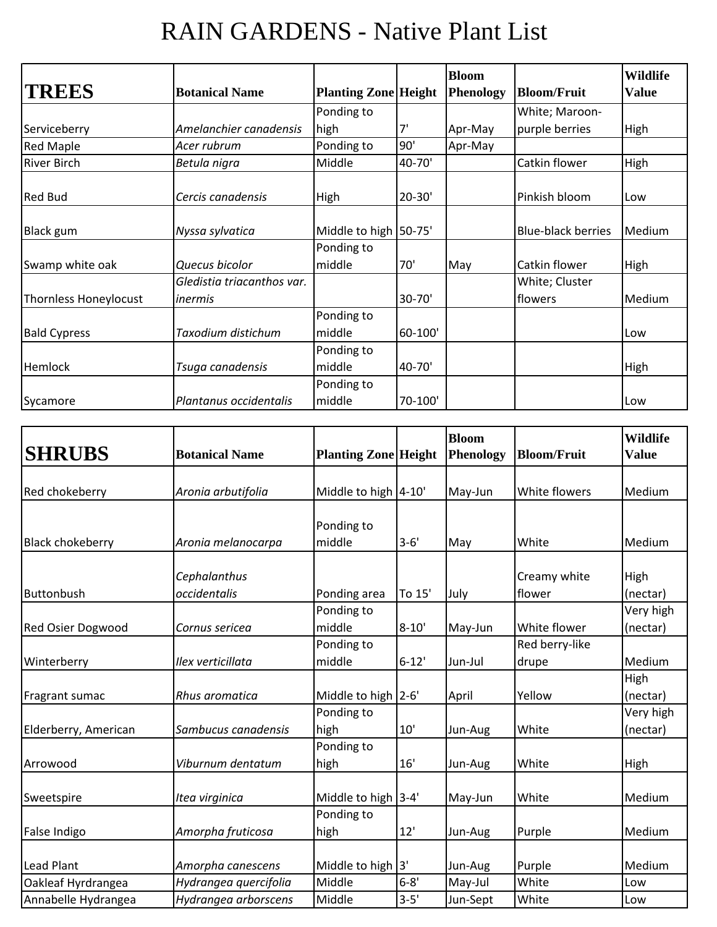## RAIN GARDENS - Native Plant List

| <b>TREES</b>          | <b>Botanical Name</b>      | <b>Planting Zone Height</b> |            | <b>Bloom</b><br><b>Phenology</b> | <b>Bloom/Fruit</b>        | <b>Wildlife</b><br><b>Value</b> |
|-----------------------|----------------------------|-----------------------------|------------|----------------------------------|---------------------------|---------------------------------|
|                       |                            | Ponding to                  |            |                                  | White; Maroon-            |                                 |
| Serviceberry          | Amelanchier canadensis     | high                        | 7'         | Apr-May                          | purple berries            | High                            |
| <b>Red Maple</b>      | Acer rubrum                | Ponding to                  | 90'        | Apr-May                          |                           |                                 |
| <b>River Birch</b>    | Betula nigra               | Middle                      | 40-70'     |                                  | Catkin flower             | High                            |
| <b>Red Bud</b>        | Cercis canadensis          | High                        | $20 - 30'$ |                                  | Pinkish bloom             | Low                             |
| Black gum             | Nyssa sylvatica            | Middle to high 50-75'       |            |                                  | <b>Blue-black berries</b> | Medium                          |
|                       |                            | Ponding to                  |            |                                  |                           |                                 |
| Swamp white oak       | Quecus bicolor             | middle                      | 70'        | May                              | Catkin flower             | <b>High</b>                     |
|                       | Gledistia triacanthos var. |                             |            |                                  | White; Cluster            |                                 |
| Thornless Honeylocust | inermis                    |                             | 30-70'     |                                  | flowers                   | Medium                          |
|                       |                            | Ponding to                  |            |                                  |                           |                                 |
| <b>Bald Cypress</b>   | Taxodium distichum         | middle                      | 60-100'    |                                  |                           | Low                             |
|                       |                            | Ponding to                  |            |                                  |                           |                                 |
| Hemlock               | Tsuga canadensis           | middle                      | 40-70'     |                                  |                           | High                            |
|                       |                            | Ponding to                  |            |                                  |                           |                                 |
| Sycamore              | Plantanus occidentalis     | middle                      | 70-100'    |                                  |                           | Low                             |

| <b>SHRUBS</b>            | <b>Botanical Name</b>        | <b>Planting Zone Height</b> |           | <b>Bloom</b><br><b>Phenology</b> | <b>Bloom/Fruit</b>      | <b>Wildlife</b><br><b>Value</b> |
|--------------------------|------------------------------|-----------------------------|-----------|----------------------------------|-------------------------|---------------------------------|
| Red chokeberry           | Aronia arbutifolia           | Middle to high 4-10'        |           | May-Jun                          | White flowers           | Medium                          |
| <b>Black chokeberry</b>  | Aronia melanocarpa           | Ponding to<br>middle        | $3 - 6'$  | May                              | White                   | Medium                          |
| Buttonbush               | Cephalanthus<br>occidentalis | Ponding area                | To 15'    | July                             | Creamy white<br>flower  | High<br>(nectar)                |
| <b>Red Osier Dogwood</b> | Cornus sericea               | Ponding to<br>middle        | $8 - 10'$ | May-Jun                          | White flower            | Very high<br>(nectar)           |
| Winterberry              | Ilex verticillata            | Ponding to<br>middle        | $6 - 12'$ | Jun-Jul                          | Red berry-like<br>drupe | Medium                          |
| Fragrant sumac           | Rhus aromatica               | Middle to high 2-6'         |           | April                            | Yellow                  | High<br>(nectar)                |
| Elderberry, American     | Sambucus canadensis          | Ponding to<br>high          | 10'       | Jun-Aug                          | White                   | Very high<br>(nectar)           |
| Arrowood                 | Viburnum dentatum            | Ponding to<br>high          | 16'       | Jun-Aug                          | White                   | High                            |
| Sweetspire               | Itea virginica               | Middle to high 3-4'         |           | May-Jun                          | White                   | Medium                          |
| False Indigo             | Amorpha fruticosa            | Ponding to<br>high          | 12'       | Jun-Aug                          | Purple                  | Medium                          |
| Lead Plant               | Amorpha canescens            | Middle to high 3'           |           | Jun-Aug                          | Purple                  | Medium                          |
| Oakleaf Hyrdrangea       | Hydrangea quercifolia        | Middle                      | $6 - 8'$  | May-Jul                          | White                   | Low                             |
| Annabelle Hydrangea      | Hydrangea arborscens         | Middle                      | $3 - 5'$  | Jun-Sept                         | White                   | Low                             |